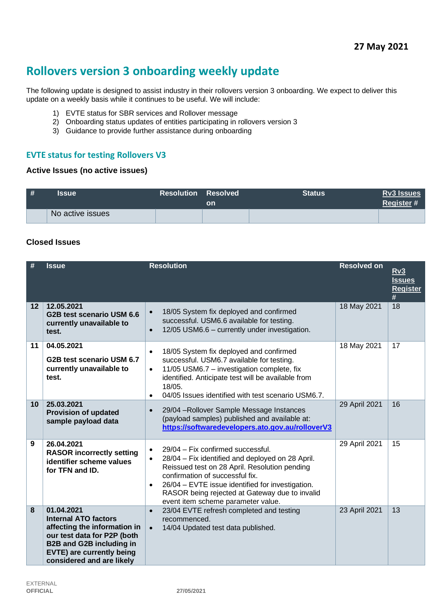# **Rollovers version 3 onboarding weekly update**

The following update is designed to assist industry in their rollovers version 3 onboarding. We expect to deliver this update on a weekly basis while it continues to be useful. We will include:

- 1) EVTE status for SBR services and Rollover message
- 2) Onboarding status updates of entities participating in rollovers version 3
- 3) Guidance to provide further assistance during onboarding

## **EVTE status for testing Rollovers V3**

#### **Active Issues (no active issues)**

| # | <b>Issue</b>     | <b>Resolution Resolved</b> | on | <b>Status</b> | <b>Rv3 Issues</b><br>Register# |
|---|------------------|----------------------------|----|---------------|--------------------------------|
|   | No active issues |                            |    |               |                                |

#### **Closed Issues**

|                   | <b>Issue</b>                                                                                                                                                                                                 | <b>Resolution</b>                                                                                                                                                                                                                                                                                                                                            | <b>Resolved on</b> | <u>Rv3</u><br><b>Issues</b><br><b>Register</b><br># |
|-------------------|--------------------------------------------------------------------------------------------------------------------------------------------------------------------------------------------------------------|--------------------------------------------------------------------------------------------------------------------------------------------------------------------------------------------------------------------------------------------------------------------------------------------------------------------------------------------------------------|--------------------|-----------------------------------------------------|
| $12 \overline{ }$ | 12.05.2021<br>G2B test scenario USM 6.6<br>currently unavailable to<br>test.                                                                                                                                 | 18/05 System fix deployed and confirmed<br>$\bullet$<br>successful. USM6.6 available for testing.<br>12/05 USM6.6 - currently under investigation.<br>$\bullet$                                                                                                                                                                                              | 18 May 2021        | 18                                                  |
| 11                | 04.05.2021<br>G2B test scenario USM 6.7<br>currently unavailable to<br>test.                                                                                                                                 | 18/05 System fix deployed and confirmed<br>$\bullet$<br>successful. USM6.7 available for testing.<br>11/05 USM6.7 - investigation complete, fix<br>$\bullet$<br>identified. Anticipate test will be available from<br>18/05.<br>04/05 Issues identified with test scenario USM6.7.<br>$\bullet$                                                              | 18 May 2021        | 17                                                  |
| 10                | 25.03.2021<br><b>Provision of updated</b><br>sample payload data                                                                                                                                             | 29/04 - Rollover Sample Message Instances<br>$\bullet$<br>(payload samples) published and available at:<br>https://softwaredevelopers.ato.gov.au/rolloverV3                                                                                                                                                                                                  | 29 April 2021      | 16                                                  |
| 9                 | 26.04.2021<br><b>RASOR incorrectly setting</b><br>identifier scheme values<br>for TFN and ID.                                                                                                                | 29/04 - Fix confirmed successful.<br>$\bullet$<br>28/04 - Fix identified and deployed on 28 April.<br>$\bullet$<br>Reissued test on 28 April. Resolution pending<br>confirmation of successful fix.<br>26/04 - EVTE issue identified for investigation.<br>$\bullet$<br>RASOR being rejected at Gateway due to invalid<br>event item scheme parameter value. | 29 April 2021      | 15                                                  |
| 8                 | 01.04.2021<br><b>Internal ATO factors</b><br>affecting the information in<br>our test data for P2P (both<br><b>B2B and G2B including in</b><br><b>EVTE) are currently being</b><br>considered and are likely | 23/04 EVTE refresh completed and testing<br>$\bullet$<br>recommenced.<br>14/04 Updated test data published.<br>$\bullet$                                                                                                                                                                                                                                     | 23 April 2021      | 13                                                  |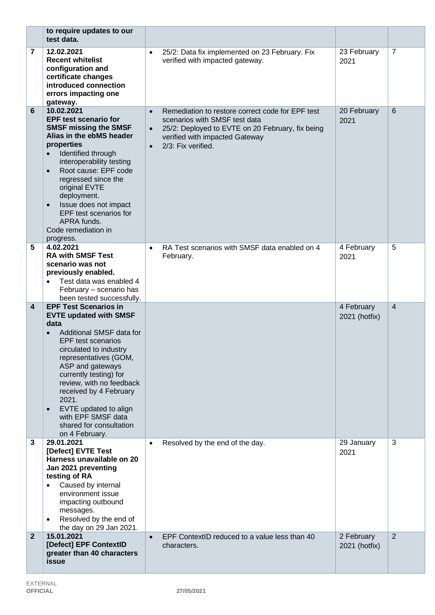|                         | to require updates to our<br>test data.                                                                                                                                                                                                                                                                                                                                                    |                                     |                                                                                                                                                                                               |                             |                 |
|-------------------------|--------------------------------------------------------------------------------------------------------------------------------------------------------------------------------------------------------------------------------------------------------------------------------------------------------------------------------------------------------------------------------------------|-------------------------------------|-----------------------------------------------------------------------------------------------------------------------------------------------------------------------------------------------|-----------------------------|-----------------|
| 7                       | 12.02.2021<br><b>Recent whitelist</b><br>configuration and<br>certificate changes<br>introduced connection<br>errors impacting one<br>gateway.                                                                                                                                                                                                                                             |                                     | 25/2: Data fix implemented on 23 February. Fix<br>verified with impacted gateway.                                                                                                             | 23 February<br>2021         | $\overline{7}$  |
| 6                       | 10.02.2021<br><b>EPF test scenario for</b><br><b>SMSF missing the SMSF</b><br>Alias in the ebMS header<br>properties<br>Identified through<br>interoperability testing<br>Root cause: EPF code<br>$\bullet$<br>regressed since the<br>original EVTE<br>deployment.<br>Issue does not impact<br>$\bullet$<br>EPF test scenarios for<br>APRA funds.<br>Code remediation in<br>progress.      | $\bullet$<br>$\bullet$<br>$\bullet$ | Remediation to restore correct code for EPF test<br>scenarios with SMSF test data<br>25/2: Deployed to EVTE on 20 February, fix being<br>verified with impacted Gateway<br>2/3: Fix verified. | 20 February<br>2021         | $6\phantom{1}6$ |
| 5                       | 4.02.2021<br><b>RA with SMSF Test</b><br>scenario was not<br>previously enabled.<br>Test data was enabled 4<br>February - scenario has<br>been tested successfully.                                                                                                                                                                                                                        | $\bullet$                           | RA Test scenarios with SMSF data enabled on 4<br>February.                                                                                                                                    | 4 February<br>2021          | 5               |
| $\overline{\mathbf{4}}$ | <b>EPF Test Scenarios in</b><br><b>EVTE updated with SMSF</b><br>data<br>Additional SMSF data for<br><b>EPF</b> test scenarios<br>circulated to industry<br>representatives (GOM,<br>ASP and gateways<br>currently testing) for<br>review, with no feedback<br>received by 4 February<br>2021.<br>EVTE updated to align<br>with EPF SMSF data<br>shared for consultation<br>on 4 February. |                                     |                                                                                                                                                                                               | 4 February<br>2021 (hotfix) | $\overline{4}$  |
| 3                       | 29.01.2021<br>[Defect] EVTE Test<br>Harness unavailable on 20<br>Jan 2021 preventing<br>testing of RA<br>Caused by internal<br>environment issue<br>impacting outbound<br>messages.<br>Resolved by the end of<br>the day on 29 Jan 2021.                                                                                                                                                   | $\bullet$                           | Resolved by the end of the day.                                                                                                                                                               | 29 January<br>2021          | 3               |
| $\overline{2}$          | 15.01.2021<br>[Defect] EPF ContextID<br>greater than 40 characters<br>issue                                                                                                                                                                                                                                                                                                                | $\bullet$                           | EPF ContextID reduced to a value less than 40<br>characters.                                                                                                                                  | 2 February<br>2021 (hotfix) | 2               |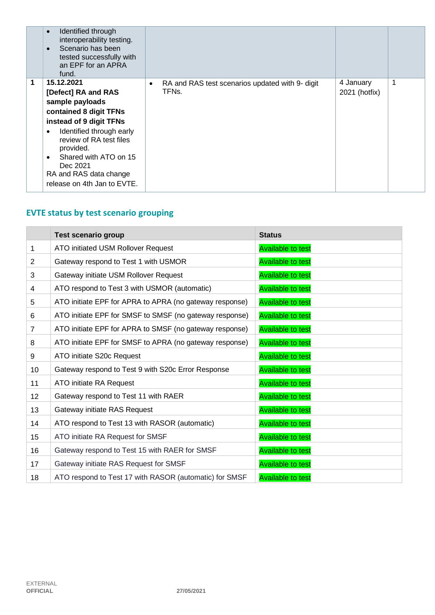|   | Identified through<br>$\bullet$<br>interoperability testing.<br>Scenario has been<br>$\bullet$<br>tested successfully with<br>an EPF for an APRA<br>fund.                                                                                                                                     |                                                                                    |                            |  |
|---|-----------------------------------------------------------------------------------------------------------------------------------------------------------------------------------------------------------------------------------------------------------------------------------------------|------------------------------------------------------------------------------------|----------------------------|--|
| 1 | 15.12.2021<br>[Defect] RA and RAS<br>sample payloads<br>contained 8 digit TFNs<br>instead of 9 digit TFNs<br>Identified through early<br>٠<br>review of RA test files<br>provided.<br>Shared with ATO on 15<br>$\bullet$<br>Dec 2021<br>RA and RAS data change<br>release on 4th Jan to EVTE. | RA and RAS test scenarios updated with 9- digit<br>$\bullet$<br>TFN <sub>S</sub> . | 4 January<br>2021 (hotfix) |  |

## **EVTE status by test scenario grouping**

|                 | <b>Test scenario group</b>                              | <b>Status</b>            |
|-----------------|---------------------------------------------------------|--------------------------|
| 1               | ATO initiated USM Rollover Request                      | <b>Available to test</b> |
| $\overline{2}$  | Gateway respond to Test 1 with USMOR                    | <b>Available to test</b> |
| 3               | Gateway initiate USM Rollover Request                   | <b>Available to test</b> |
| 4               | ATO respond to Test 3 with USMOR (automatic)            | <b>Available to test</b> |
| 5               | ATO initiate EPF for APRA to APRA (no gateway response) | <b>Available to test</b> |
| 6               | ATO initiate EPF for SMSF to SMSF (no gateway response) | <b>Available to test</b> |
| $\overline{7}$  | ATO initiate EPF for APRA to SMSF (no gateway response) | <b>Available to test</b> |
| 8               | ATO initiate EPF for SMSF to APRA (no gateway response) | <b>Available to test</b> |
| 9               | ATO initiate S20c Request                               | <b>Available to test</b> |
| 10 <sup>1</sup> | Gateway respond to Test 9 with S20c Error Response      | <b>Available to test</b> |
| 11              | ATO initiate RA Request                                 | <b>Available to test</b> |
| 12 <sup>2</sup> | Gateway respond to Test 11 with RAER                    | <b>Available to test</b> |
| 13              | Gateway initiate RAS Request                            | <b>Available to test</b> |
| 14              | ATO respond to Test 13 with RASOR (automatic)           | <b>Available to test</b> |
| 15              | ATO initiate RA Request for SMSF                        | <b>Available to test</b> |
| 16              | Gateway respond to Test 15 with RAER for SMSF           | <b>Available to test</b> |
| 17              | Gateway initiate RAS Request for SMSF                   | <b>Available to test</b> |
| 18              | ATO respond to Test 17 with RASOR (automatic) for SMSF  | <b>Available to test</b> |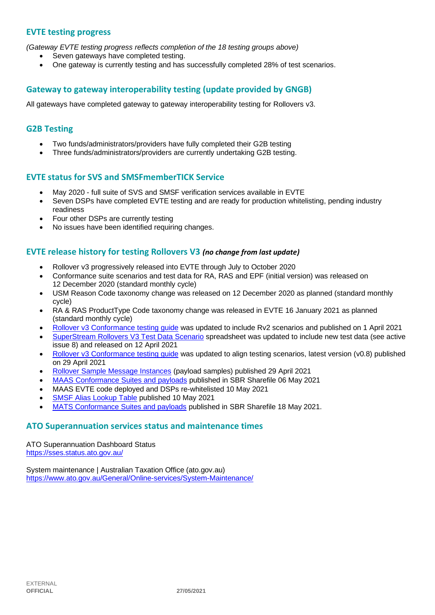## **EVTE testing progress**

*(Gateway EVTE testing progress reflects completion of the 18 testing groups above)*

- Seven gateways have completed testing.
- One gateway is currently testing and has successfully completed 28% of test scenarios.

## **Gateway to gateway interoperability testing (update provided by GNGB)**

All gateways have completed gateway to gateway interoperability testing for Rollovers v3.

## **G2B Testing**

- Two funds/administrators/providers have fully completed their G2B testing
- Three funds/administrators/providers are currently undertaking G2B testing.

#### **EVTE status for SVS and SMSFmemberTICK Service**

- May 2020 full suite of SVS and SMSF verification services available in EVTE
- Seven DSPs have completed EVTE testing and are ready for production whitelisting, pending industry readiness
- Four other DSPs are currently testing
- No issues have been identified requiring changes.

#### **EVTE release history for testing Rollovers V3** *(no change from last update)*

- Rollover v3 progressively released into EVTE through July to October 2020
- Conformance suite scenarios and test data for RA, RAS and EPF (initial version) was released on 12 December 2020 (standard monthly cycle)
- USM Reason Code taxonomy change was released on 12 December 2020 as planned (standard monthly cycle)
- RA & RAS ProductType Code taxonomy change was released in EVTE 16 January 2021 as planned (standard monthly cycle)
- [Rollover v3 Conformance testing guide](https://softwaredevelopers.ato.gov.au/rolloverV3) was updated to include Rv2 scenarios and published on 1 April 2021
- [SuperStream Rollovers V3 Test Data Scenario](https://softwaredevelopers.ato.gov.au/sites/default/files/2021-04/SuperStream_RolloversV3_Test_Data_Scenario_V1.0.xlsx) spreadsheet was updated to include new test data (see active issue 8) and released on 12 April 2021
- Rollover v3 Conformance testing quide was updated to align testing scenarios, latest version (v0.8) published on 29 April 2021
- [Rollover Sample Message Instances](https://softwaredevelopers.ato.gov.au/rolloverV3) (payload samples) published 29 April 2021
- [MAAS Conformance Suites and payloads](https://standardbusinessreporting.sharefile.com/home/shared/fod63f12-7bbb-4c61-96e7-33dc9eae4d9a) published in SBR Sharefile 06 May 2021
- MAAS EVTE code deployed and DSPs re-whitelisted 10 May 2021
- [SMSF Alias Lookup Table](https://softwaredevelopers.ato.gov.au/supervalidationservices) published 10 May 2021
- [MATS Conformance Suites and payloads](http://standardbusinessreporting.sharefile.com/) published in SBR Sharefile 18 May 2021.

#### **ATO Superannuation services status and maintenance times**

[ATO Superannuation Dashboard Status](https://sses.status.ato.gov.au/) <https://sses.status.ato.gov.au/>

[System maintenance | Australian Taxation Office \(ato.gov.au\)](https://www.ato.gov.au/General/Online-services/System-Maintenance/) <https://www.ato.gov.au/General/Online-services/System-Maintenance/>